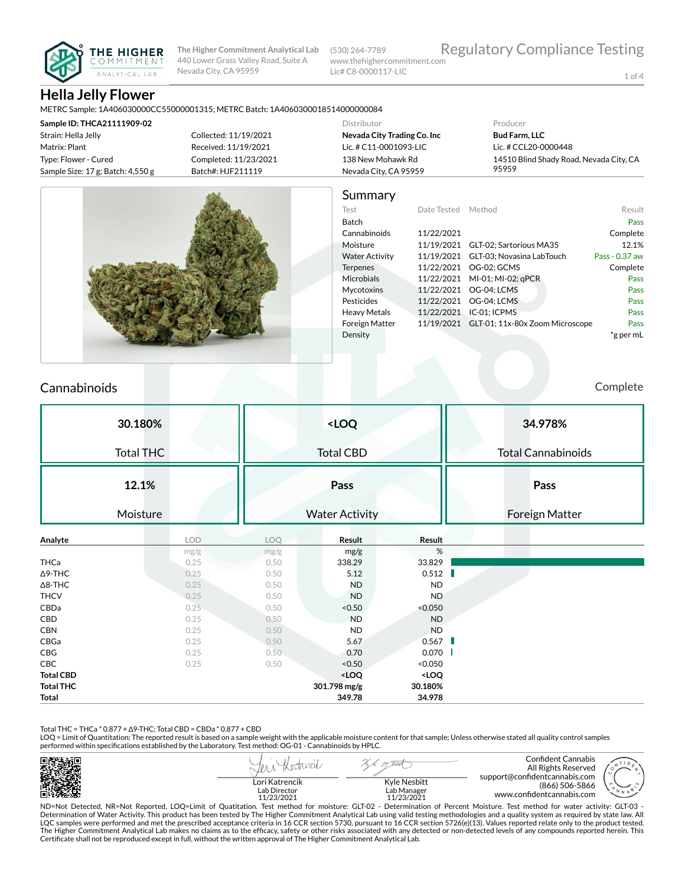

(530) 264-7789 www.thehighercommitment.com Lic# C8-0000117-LIC

1 of 4

## **Hella Jelly Flower**

METRC Sample: 1A406030000CC55000001315; METRC Batch: 1A4060300018514000000084

| Sample ID: THCA21111909-02            |                       | Distributor                 | Producer                                |
|---------------------------------------|-----------------------|-----------------------------|-----------------------------------------|
| Strain: Hella Jelly                   | Collected: 11/19/2021 | Nevada City Trading Co. Inc | <b>Bud Farm, LLC</b>                    |
| Matrix: Plant                         | Received: 11/19/2021  | Lic. # C11-0001093-LIC      | Lic. # CCL20-0000448                    |
| Type: Flower - Cured                  | Completed: 11/23/2021 | 138 New Mohawk Rd           | 14510 Blind Shady Road, Nevada City, CA |
| Sample Size: $17$ g; Batch: $4,550$ g | Batch#: HJF211119     | Nevada City, CA 95959       | 95959                                   |
|                                       |                       |                             |                                         |



## Cannabinoids Complete

|                  | 30.180%          |            | <loq< th=""><th>34.978%</th></loq<> |                                                          |                              | 34.978%                   |
|------------------|------------------|------------|-------------------------------------|----------------------------------------------------------|------------------------------|---------------------------|
|                  | <b>Total THC</b> |            |                                     | <b>Total CBD</b>                                         |                              | <b>Total Cannabinoids</b> |
|                  | 12.1%            |            | Pass                                |                                                          |                              | Pass                      |
|                  | Moisture         |            |                                     | <b>Water Activity</b>                                    |                              | <b>Foreign Matter</b>     |
| Analyte          |                  | <b>LOD</b> | LOQ                                 | Result                                                   | Result                       |                           |
|                  |                  | mg/g       | mg/g                                | mg/g                                                     | $\%$                         |                           |
| <b>THCa</b>      |                  | 0.25       | 0.50                                | 338.29                                                   | 33.829                       |                           |
| $\Delta$ 9-THC   |                  | 0.25       | 0.50                                | 5.12                                                     | 0.512                        |                           |
| $\Delta$ 8-THC   |                  | 0.25       | 0.50                                | <b>ND</b>                                                | <b>ND</b>                    |                           |
| <b>THCV</b>      |                  | 0.25       | 0.50                                | <b>ND</b>                                                | <b>ND</b>                    |                           |
| CBDa             |                  | 0.25       | 0.50                                | < 0.50                                                   | < 0.050                      |                           |
| CBD              |                  | 0.25       | 0.50                                | <b>ND</b>                                                | <b>ND</b>                    |                           |
| <b>CBN</b>       |                  | 0.25       | 0.50                                | <b>ND</b>                                                | <b>ND</b>                    |                           |
| CBGa             |                  | 0.25       | 0.50                                | 5.67                                                     | 0.567                        |                           |
| CBG              |                  | 0.25       | 0.50                                | 0.70                                                     | 0.070                        |                           |
| CBC              |                  | 0.25       | 0.50                                | < 0.50                                                   | < 0.050                      |                           |
| <b>Total CBD</b> |                  |            |                                     | <loq< th=""><th><loq< th=""><th></th></loq<></th></loq<> | <loq< th=""><th></th></loq<> |                           |
| <b>Total THC</b> |                  |            |                                     | 301.798 mg/g                                             | 30.180%                      |                           |
| Total            |                  |            |                                     | 349.78                                                   | 34.978                       |                           |

Total THC = THCa \* 0.877 + ∆9-THC; Total CBD = CBDa \* 0.877 + CBD

LOQ = Limit of Quantitation; The reported result is based on a sample weight with the applicable moisture content for that sample; Unless otherwise stated all quality control samples performed within specifications established by the Laboratory. Test method: OG-01 - Cannabinoids by HPLC.

|                                              |                                           | Confident Cannabis<br>All Rights Reserved<br>support@confidentcannabis.com                                                                                           |  |
|----------------------------------------------|-------------------------------------------|----------------------------------------------------------------------------------------------------------------------------------------------------------------------|--|
| Lori Katrencik<br>Lab Director<br>11/23/2021 | Kyle Nesbitt<br>Lab Manager<br>11/23/2021 | (866) 506-5866<br>www.confidentcannabis.com                                                                                                                          |  |
|                                              |                                           | ND-Not Detected NP-Not Penerted LOO-Limit of Quatitation Tect method for moicture; CLT.02, Determination of Percent Moicture Tect method for water activity; CLT.03, |  |

ND=Not Detected, NR=Not Reported, LOQ=Limit of Quatitation. Test method for moisture: GLT-02 - Determination of Percent Moisture. Test method for water activity: GLT-03 -<br>Determination of Water Activity. This product has b LQC samples were performed and met the prescribed acceptance criteria in 16 CCR section 5730, pursuant to 16 CCR section 5726(e)(13). Values reported relate only to the product tested. The Higher Commitment Analytical Lab makes no claims as to the efficacy, safety or other risks associated with any detected or non-detected levels of any compounds reported herein. This<br>Certificate shall not be reproduced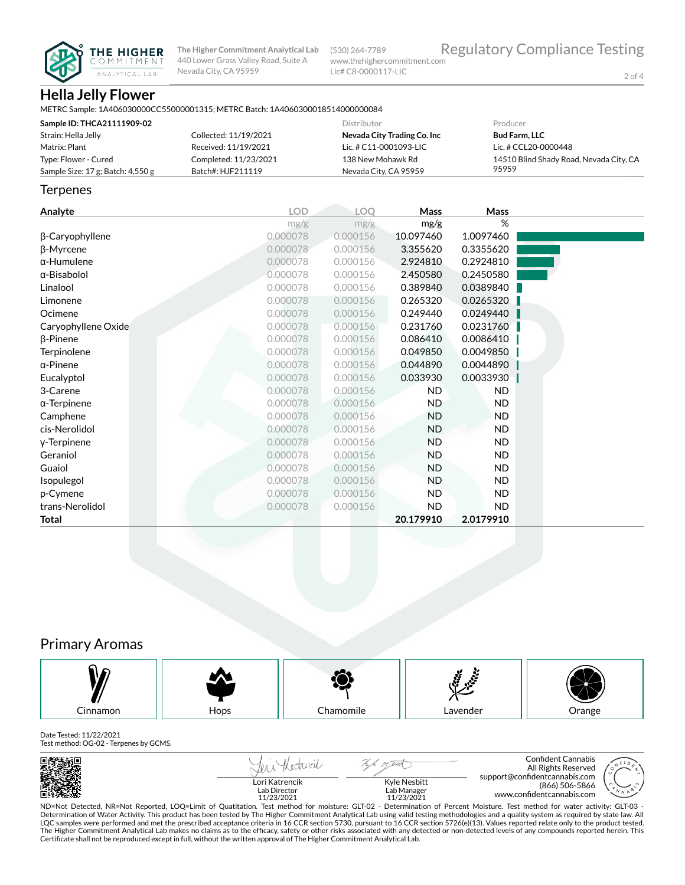

(530) 264-7789 www.thehighercommitment.com Lic# C8-0000117-LIC

2 of 4

# **Hella Jelly Flower**

| METRC Sample: 1A406030000CC55000001315: METRC Batch: 1A4060300018514000000084 |  |
|-------------------------------------------------------------------------------|--|
|-------------------------------------------------------------------------------|--|

| Sample ID: THCA21111909-02          |                       | Distributor                 | Producer                                |
|-------------------------------------|-----------------------|-----------------------------|-----------------------------------------|
| Strain: Hella Jelly                 | Collected: 11/19/2021 | Nevada City Trading Co. Inc | <b>Bud Farm, LLC</b>                    |
| Matrix: Plant                       | Received: 11/19/2021  | Lic. # C11-0001093-LIC      | Lic. # CCL20-0000448                    |
| Type: Flower - Cured                | Completed: 11/23/2021 | 138 New Mohawk Rd           | 14510 Blind Shady Road, Nevada City, CA |
| Sample Size: 17 g; Batch: $4,550$ g | Batch#: HJF211119     | Nevada City, CA 95959       | 95959                                   |

#### **Terpenes**

| Analyte             | <b>LOD</b> | LOQ      | Mass      | Mass      |  |
|---------------------|------------|----------|-----------|-----------|--|
|                     | mg/g       | mg/g     | mg/g      | %         |  |
| β-Caryophyllene     | 0.000078   | 0.000156 | 10.097460 | 1.0097460 |  |
| β-Myrcene           | 0.000078   | 0.000156 | 3.355620  | 0.3355620 |  |
| $\alpha$ -Humulene  | 0.000078   | 0.000156 | 2.924810  | 0.2924810 |  |
| α-Bisabolol         | 0.000078   | 0.000156 | 2.450580  | 0.2450580 |  |
| Linalool            | 0.000078   | 0.000156 | 0.389840  | 0.0389840 |  |
| Limonene            | 0.000078   | 0.000156 | 0.265320  | 0.0265320 |  |
| Ocimene             | 0.000078   | 0.000156 | 0.249440  | 0.0249440 |  |
| Caryophyllene Oxide | 0.000078   | 0.000156 | 0.231760  | 0.0231760 |  |
| $\beta$ -Pinene     | 0.000078   | 0.000156 | 0.086410  | 0.0086410 |  |
| Terpinolene         | 0.000078   | 0.000156 | 0.049850  | 0.0049850 |  |
| $\alpha$ -Pinene    | 0.000078   | 0.000156 | 0.044890  | 0.0044890 |  |
| Eucalyptol          | 0.000078   | 0.000156 | 0.033930  | 0.0033930 |  |
| 3-Carene            | 0.000078   | 0.000156 | <b>ND</b> | <b>ND</b> |  |
| $\alpha$ -Terpinene | 0.000078   | 0.000156 | <b>ND</b> | ND        |  |
| Camphene            | 0.000078   | 0.000156 | <b>ND</b> | ND.       |  |
| cis-Nerolidol       | 0.000078   | 0.000156 | <b>ND</b> | ND.       |  |
| y-Terpinene         | 0.000078   | 0.000156 | <b>ND</b> | ND.       |  |
| Geraniol            | 0.000078   | 0.000156 | <b>ND</b> | ND        |  |
| Guaiol              | 0.000078   | 0.000156 | <b>ND</b> | ND.       |  |
| Isopulegol          | 0.000078   | 0.000156 | <b>ND</b> | <b>ND</b> |  |
| p-Cymene            | 0.000078   | 0.000156 | <b>ND</b> | ND.       |  |
| trans-Nerolidol     | 0.000078   | 0.000156 | <b>ND</b> | ND        |  |
| <b>Total</b>        |            |          | 20.179910 | 2.0179910 |  |

## Primary Aromas



#### Date Tested: 11/22/2021

Test method: OG-02 - Terpenes by GCMS.

| 回路法标画                                                                                                                                                                      |                                              | LUIA                                      | Confident Cannabis<br>All Rights Reserved<br>support@confidentcannabis.com |  |
|----------------------------------------------------------------------------------------------------------------------------------------------------------------------------|----------------------------------------------|-------------------------------------------|----------------------------------------------------------------------------|--|
|                                                                                                                                                                            | Lori Katrencik<br>Lab Director<br>11/23/2021 | Kyle Nesbitt<br>Lab Manager<br>11/23/2021 | (866) 506-5866<br>www.confidentcannabis.com                                |  |
| ND=Not Detected, NR=Not Reported, LOQ=Limit of Quatitation. Test method for moisture: GLT-02 - Determination of Percent Moisture. Test method for water activity: GLT-03 - |                                              |                                           |                                                                            |  |

ND=Not Detected, NR=Not Reported, LOQ=Limit of Quatitation. Test method for moisture: GLT-02 - Determination of Percent Moisture. Test method for water activity: GLT-03 -<br>Determination of Water Activity.This product has be The Higher Commitment Analytical Lab makes no claims as to the efficacy, safety or other risks associated with any detected or non-detected levels of any compounds reported herein. This<br>Certificate shall not be reproduced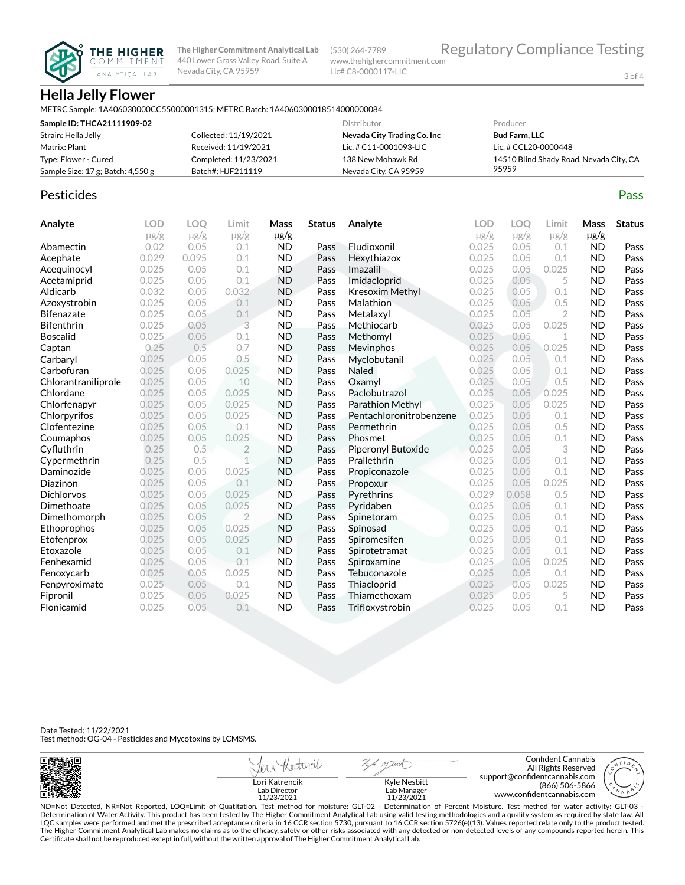

(530) 264-7789 www.thehighercommitment.com Lic# C8-0000117-LIC

3 of 4

# **Hella Jelly Flower**

METRC Sample: 1A406030000CC55000001315; METRC Batch: 1A4060300018514000000084

| Sample ID: THCA21111909-02            |                       | Distributor                 | Producer                                |
|---------------------------------------|-----------------------|-----------------------------|-----------------------------------------|
| Strain: Hella Jelly                   | Collected: 11/19/2021 | Nevada City Trading Co. Inc | <b>Bud Farm, LLC</b>                    |
| Matrix: Plant                         | Received: 11/19/2021  | Lic. # C11-0001093-LIC      | Lic. # CCL20-0000448                    |
| Type: Flower - Cured                  | Completed: 11/23/2021 | 138 New Mohawk Rd           | 14510 Blind Shady Road, Nevada City, CA |
| Sample Size: $17$ g; Batch: $4,550$ g | Batch#: HJF211119     | Nevada City, CA 95959       | 95959                                   |

### Pesticides **Passage Contract Contract Contract Contract Contract Contract Contract Contract Contract Contract Contract Contract Contract Contract Contract Contract Contract Contract Contract Contract Contract Contract Cont**

| Analyte             | <b>LOD</b> | LOQ       | Limit          | Mass      | <b>Status</b> | Analyte                 | LOD       | LOO       | Limit        | Mass      | <b>Status</b> |
|---------------------|------------|-----------|----------------|-----------|---------------|-------------------------|-----------|-----------|--------------|-----------|---------------|
|                     | $\mu$ g/g  | $\mu$ g/g | $\mu$ g/g      | $\mu$ g/g |               |                         | $\mu$ g/g | $\mu$ g/g | $\mu$ g/g    | $\mu$ g/g |               |
| Abamectin           | 0.02       | 0.05      | 0.1            | <b>ND</b> | Pass          | Fludioxonil             | 0.025     | 0.05      | 0.1          | <b>ND</b> | Pass          |
| Acephate            | 0.029      | 0.095     | 0.1            | <b>ND</b> | Pass          | Hexythiazox             | 0.025     | 0.05      | 0.1          | <b>ND</b> | Pass          |
| Acequinocyl         | 0.025      | 0.05      | 0.1            | <b>ND</b> | Pass          | Imazalil                | 0.025     | 0.05      | 0.025        | <b>ND</b> | Pass          |
| Acetamiprid         | 0.025      | 0.05      | 0.1            | <b>ND</b> | Pass          | Imidacloprid            | 0.025     | 0.05      | 5            | <b>ND</b> | Pass          |
| Aldicarb            | 0.032      | 0.05      | 0.032          | <b>ND</b> | Pass          | <b>Kresoxim Methyl</b>  | 0.025     | 0.05      | 0.1          | <b>ND</b> | Pass          |
| Azoxystrobin        | 0.025      | 0.05      | 0.1            | <b>ND</b> | Pass          | Malathion               | 0.025     | 0.05      | 0.5          | <b>ND</b> | Pass          |
| <b>Bifenazate</b>   | 0.025      | 0.05      | 0.1            | <b>ND</b> | Pass          | Metalaxyl               | 0.025     | 0.05      | $\mathbf{2}$ | <b>ND</b> | Pass          |
| <b>Bifenthrin</b>   | 0.025      | 0.05      | 3              | <b>ND</b> | Pass          | Methiocarb              | 0.025     | 0.05      | 0.025        | <b>ND</b> | Pass          |
| <b>Boscalid</b>     | 0.025      | 0.05      | 0.1            | <b>ND</b> | Pass          | Methomyl                | 0.025     | 0.05      | 1            | <b>ND</b> | Pass          |
| Captan              | 0.25       | 0.5       | 0.7            | <b>ND</b> | Pass          | Mevinphos               | 0.025     | 0.05      | 0.025        | <b>ND</b> | Pass          |
| Carbaryl            | 0.025      | 0.05      | 0.5            | <b>ND</b> | Pass          | Myclobutanil            | 0.025     | 0.05      | 0.1          | <b>ND</b> | Pass          |
| Carbofuran          | 0.025      | 0.05      | 0.025          | <b>ND</b> | Pass          | Naled                   | 0.025     | 0.05      | 0.1          | <b>ND</b> | Pass          |
| Chlorantraniliprole | 0.025      | 0.05      | 10             | <b>ND</b> | Pass          | Oxamyl                  | 0.025     | 0.05      | 0.5          | <b>ND</b> | Pass          |
| Chlordane           | 0.025      | 0.05      | 0.025          | <b>ND</b> | Pass          | Paclobutrazol           | 0.025     | 0.05      | 0.025        | <b>ND</b> | Pass          |
| Chlorfenapyr        | 0.025      | 0.05      | 0.025          | <b>ND</b> | Pass          | <b>Parathion Methyl</b> | 0.025     | 0.05      | 0.025        | <b>ND</b> | Pass          |
| Chlorpyrifos        | 0.025      | 0.05      | 0.025          | <b>ND</b> | Pass          | Pentachloronitrobenzene | 0.025     | 0.05      | 0.1          | <b>ND</b> | Pass          |
| Clofentezine        | 0.025      | 0.05      | 0.1            | <b>ND</b> | Pass          | Permethrin              | 0.025     | 0.05      | 0.5          | <b>ND</b> | Pass          |
| Coumaphos           | 0.025      | 0.05      | 0.025          | <b>ND</b> | Pass          | Phosmet                 | 0.025     | 0.05      | 0.1          | <b>ND</b> | Pass          |
| Cyfluthrin          | 0.25       | 0.5       | $\overline{2}$ | <b>ND</b> | Pass          | Piperonyl Butoxide      | 0.025     | 0.05      | 3            | <b>ND</b> | Pass          |
| Cypermethrin        | 0.25       | 0.5       | 1              | <b>ND</b> | Pass          | Prallethrin             | 0.025     | 0.05      | 0.1          | <b>ND</b> | Pass          |
| Daminozide          | 0.025      | 0.05      | 0.025          | <b>ND</b> | Pass          | Propiconazole           | 0.025     | 0.05      | 0.1          | <b>ND</b> | Pass          |
| Diazinon            | 0.025      | 0.05      | 0.1<br>×       | <b>ND</b> | Pass          | Propoxur                | 0.025     | 0.05      | 0.025        | <b>ND</b> | Pass          |
| <b>Dichlorvos</b>   | 0.025      | 0.05      | 0.025          | <b>ND</b> | Pass          | Pyrethrins              | 0.029     | 0.058     | 0.5          | <b>ND</b> | Pass          |
| Dimethoate          | 0.025      | 0.05      | 0.025          | <b>ND</b> | Pass          | Pyridaben               | 0.025     | 0.05      | 0.1          | <b>ND</b> | Pass          |
| Dimethomorph        | 0.025      | 0.05      | $\overline{2}$ | <b>ND</b> | Pass          | Spinetoram              | 0.025     | 0.05      | 0.1          | <b>ND</b> | Pass          |
| Ethoprophos         | 0.025      | 0.05      | 0.025          | <b>ND</b> | Pass          | Spinosad                | 0.025     | 0.05      | 0.1          | <b>ND</b> | Pass          |
| Etofenprox          | 0.025      | 0.05      | 0.025          | <b>ND</b> | Pass          | Spiromesifen            | 0.025     | 0.05      | 0.1          | <b>ND</b> | Pass          |
| Etoxazole           | 0.025      | 0.05      | 0.1            | <b>ND</b> | Pass          | Spirotetramat           | 0.025     | 0.05      | 0.1          | <b>ND</b> | Pass          |
| Fenhexamid          | 0.025      | 0.05      | 0.1            | <b>ND</b> | Pass          | Spiroxamine             | 0.025     | 0.05      | 0.025        | <b>ND</b> | Pass          |
| Fenoxycarb          | 0.025      | 0.05      | 0.025          | <b>ND</b> | Pass          | Tebuconazole            | 0.025     | 0.05      | 0.1          | <b>ND</b> | Pass          |
| Fenpyroximate       | 0.025      | 0.05      | 0.1            | <b>ND</b> | Pass          | Thiacloprid             | 0.025     | 0.05      | 0.025        | <b>ND</b> | Pass          |
| Fipronil            | 0.025      | 0.05      | 0.025          | <b>ND</b> | Pass          | Thiamethoxam            | 0.025     | 0.05      | 5            | <b>ND</b> | Pass          |
| Flonicamid          | 0.025      | 0.05      | 0.1            | <b>ND</b> | Pass          | Trifloxystrobin         | 0.025     | 0.05      | 0.1          | <b>ND</b> | Pass          |

Date Tested: 11/22/2021 Test method: OG-04 - Pesticides and Mycotoxins by LCMSMS.

| 回際誘婦回 |                                              |                                           | Confident Cannabis<br>All Rights Reserved<br>support@confidentcannabis.com                                                                                             |  |
|-------|----------------------------------------------|-------------------------------------------|------------------------------------------------------------------------------------------------------------------------------------------------------------------------|--|
|       | Lori Katrencik<br>Lab Director<br>11/23/2021 | Kyle Nesbitt<br>Lab Manager<br>11/23/2021 | (866) 506-5866<br>www.confidentcannabis.com                                                                                                                            |  |
|       |                                              |                                           | - ND=Not Detected NR=Not Reported LOO=Limit of Quatitation Test method for moisture; GLT-02 - Determination of Percent Moisture Test method for water activity; GLT-03 |  |

ND=Not Detected, NR=Not Reported, LOQ=Limit of Quatitation. Test method for moisture: GLT-02 - Determination of Percent Moisture. Test method for water activity: GLT-03 -<br>Determination of Water Activity.This product has be The Higher Commitment Analytical Lab makes no claims as to the efficacy, safety or other risks associated with any detected or non-detected levels of any compounds reported herein. This<br>Certificate shall not be reproduced